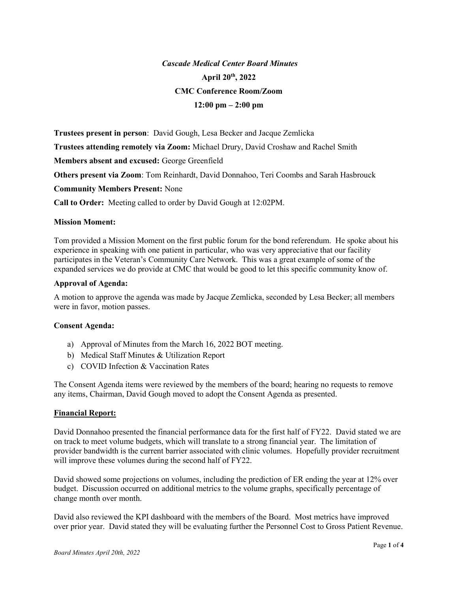# Cascade Medical Center Board Minutes April 20th, 2022 CMC Conference Room/Zoom  $12:00 \text{ pm} - 2:00 \text{ pm}$

Trustees present in person: David Gough, Lesa Becker and Jacque Zemlicka

Trustees attending remotely via Zoom: Michael Drury, David Croshaw and Rachel Smith

Members absent and excused: George Greenfield

Others present via Zoom: Tom Reinhardt, David Donnahoo, Teri Coombs and Sarah Hasbrouck

Community Members Present: None

Call to Order: Meeting called to order by David Gough at 12:02PM.

## Mission Moment:

Tom provided a Mission Moment on the first public forum for the bond referendum. He spoke about his experience in speaking with one patient in particular, who was very appreciative that our facility participates in the Veteran's Community Care Network. This was a great example of some of the expanded services we do provide at CMC that would be good to let this specific community know of.

## Approval of Agenda:

A motion to approve the agenda was made by Jacque Zemlicka, seconded by Lesa Becker; all members were in favor, motion passes.

# Consent Agenda:

- a) Approval of Minutes from the March 16, 2022 BOT meeting.
- b) Medical Staff Minutes & Utilization Report
- c) COVID Infection & Vaccination Rates

The Consent Agenda items were reviewed by the members of the board; hearing no requests to remove any items, Chairman, David Gough moved to adopt the Consent Agenda as presented.

## Financial Report:

David Donnahoo presented the financial performance data for the first half of FY22. David stated we are on track to meet volume budgets, which will translate to a strong financial year. The limitation of provider bandwidth is the current barrier associated with clinic volumes. Hopefully provider recruitment will improve these volumes during the second half of FY22.

David showed some projections on volumes, including the prediction of ER ending the year at 12% over budget. Discussion occurred on additional metrics to the volume graphs, specifically percentage of change month over month.

David also reviewed the KPI dashboard with the members of the Board. Most metrics have improved over prior year. David stated they will be evaluating further the Personnel Cost to Gross Patient Revenue.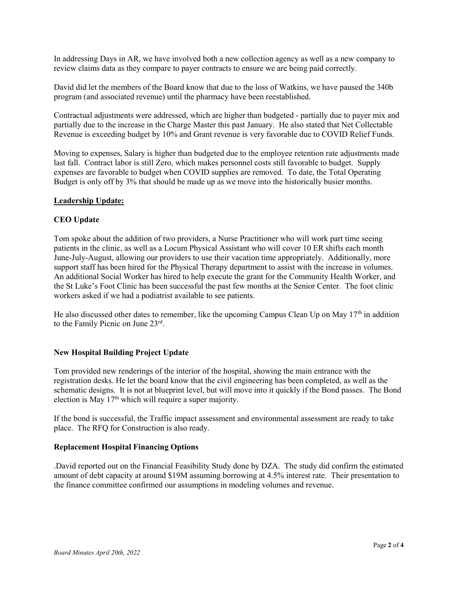In addressing Days in AR, we have involved both a new collection agency as well as a new company to review claims data as they compare to payer contracts to ensure we are being paid correctly.

David did let the members of the Board know that due to the loss of Watkins, we have paused the 340b program (and associated revenue) until the pharmacy have been reestablished.

Contractual adjustments were addressed, which are higher than budgeted - partially due to payer mix and partially due to the increase in the Charge Master this past January. He also stated that Net Collectable Revenue is exceeding budget by 10% and Grant revenue is very favorable due to COVID Relief Funds.

Moving to expenses, Salary is higher than budgeted due to the employee retention rate adjustments made last fall. Contract labor is still Zero, which makes personnel costs still favorable to budget. Supply expenses are favorable to budget when COVID supplies are removed. To date, the Total Operating Budget is only off by 3% that should be made up as we move into the historically busier months.

## Leadership Update:

## CEO Update

Tom spoke about the addition of two providers, a Nurse Practitioner who will work part time seeing patients in the clinic, as well as a Locum Physical Assistant who will cover 10 ER shifts each month June-July-August, allowing our providers to use their vacation time appropriately. Additionally, more support staff has been hired for the Physical Therapy department to assist with the increase in volumes. An additional Social Worker has hired to help execute the grant for the Community Health Worker, and the St Luke's Foot Clinic has been successful the past few months at the Senior Center. The foot clinic workers asked if we had a podiatrist available to see patients.

He also discussed other dates to remember, like the upcoming Campus Clean Up on May 17<sup>th</sup> in addition to the Family Picnic on June 23rd .

## New Hospital Building Project Update

Tom provided new renderings of the interior of the hospital, showing the main entrance with the registration desks. He let the board know that the civil engineering has been completed, as well as the schematic designs. It is not at blueprint level, but will move into it quickly if the Bond passes. The Bond election is May  $17<sup>th</sup>$  which will require a super majority.

If the bond is successful, the Traffic impact assessment and environmental assessment are ready to take place. The RFQ for Construction is also ready.

## Replacement Hospital Financing Options

.David reported out on the Financial Feasibility Study done by DZA. The study did confirm the estimated amount of debt capacity at around \$19M assuming borrowing at 4.5% interest rate. Their presentation to the finance committee confirmed our assumptions in modeling volumes and revenue.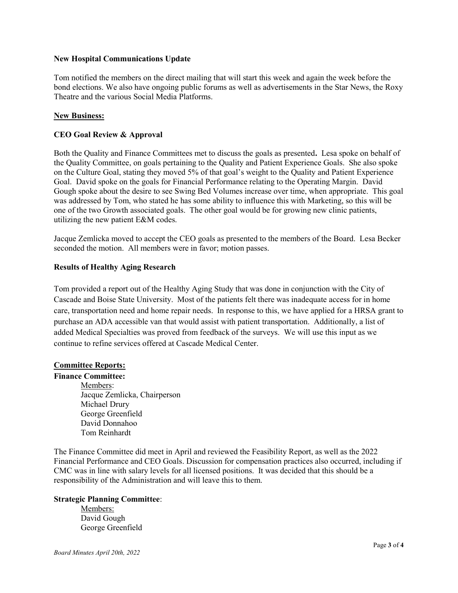## New Hospital Communications Update

Tom notified the members on the direct mailing that will start this week and again the week before the bond elections. We also have ongoing public forums as well as advertisements in the Star News, the Roxy Theatre and the various Social Media Platforms.

# New Business:

## CEO Goal Review & Approval

Both the Quality and Finance Committees met to discuss the goals as presented. Lesa spoke on behalf of the Quality Committee, on goals pertaining to the Quality and Patient Experience Goals. She also spoke on the Culture Goal, stating they moved 5% of that goal's weight to the Quality and Patient Experience Goal. David spoke on the goals for Financial Performance relating to the Operating Margin. David Gough spoke about the desire to see Swing Bed Volumes increase over time, when appropriate. This goal was addressed by Tom, who stated he has some ability to influence this with Marketing, so this will be one of the two Growth associated goals. The other goal would be for growing new clinic patients, utilizing the new patient E&M codes.

Jacque Zemlicka moved to accept the CEO goals as presented to the members of the Board. Lesa Becker seconded the motion. All members were in favor; motion passes.

# Results of Healthy Aging Research

Tom provided a report out of the Healthy Aging Study that was done in conjunction with the City of Cascade and Boise State University. Most of the patients felt there was inadequate access for in home care, transportation need and home repair needs. In response to this, we have applied for a HRSA grant to purchase an ADA accessible van that would assist with patient transportation. Additionally, a list of added Medical Specialties was proved from feedback of the surveys. We will use this input as we continue to refine services offered at Cascade Medical Center.

## Committee Reports:

## Finance Committee:

 Members: Jacque Zemlicka, Chairperson Michael Drury George Greenfield David Donnahoo Tom Reinhardt

The Finance Committee did meet in April and reviewed the Feasibility Report, as well as the 2022 Financial Performance and CEO Goals. Discussion for compensation practices also occurred, including if CMC was in line with salary levels for all licensed positions. It was decided that this should be a responsibility of the Administration and will leave this to them.

# Strategic Planning Committee:

 Members: David Gough George Greenfield